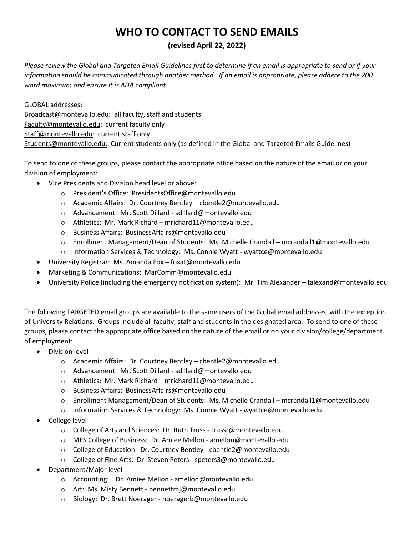## **WHO TO CONTACT TO SEND EMAILS**

## **(revised April 22, 2022)**

*Please review the Global and Targeted Email Guidelines first to determine if an email is appropriate to send or if your information should be communicated through another method. If an email is appropriate, please adhere to the 200 word maximum and ensure it is ADA compliant.*

GLOBAL addresses: [Broadcast@montevallo.edu:](mailto:Broadcast@montevallo.edu) all faculty, staff and students [Faculty@montevallo.edu:](mailto:Faculty@montevallo.edu) current faculty only [Staff@montevallo.edu:](mailto:Staff@montevallo.edu) current staff only [Students@montevallo.edu:](mailto:Students@montevallo.edu) Current students only (as defined in the Global and Targeted Emails Guidelines)

To send to one of these groups, please contact the appropriate office based on the nature of the email or on your division of employment:

- Vice Presidents and Division head level or above:
	- o President's Office: PresidentsOffice@montevallo.edu
	- o Academic Affairs: Dr. Courtney Bentley cbentle2@montevallo.edu
	- o Advancement: Mr. Scott Dillard sdillard@montevallo.edu
	- o Athletics: Mr. Mark Richard mrichard11@montevallo.edu
	- o Business Affairs: BusinessAffairs@montevallo.edu
	- o Enrollment Management/Dean of Students: Ms. Michelle Crandall mcrandall1@montevallo.edu
	- o Information Services & Technology: Ms. Connie Wyatt wyattce@montevallo.edu
- University Registrar: Ms. Amanda Fox foxat@montevallo.edu
- Marketing & Communications: MarComm@montevallo.edu
- University Police (including the emergency notification system): Mr. Tim Alexander talexand@montevallo.edu

The following TARGETED email groups are available to the same users of the Global email addresses, with the exception of University Relations. Groups include all faculty, staff and students in the designated area. To send to one of these groups, please contact the appropriate office based on the nature of the email or on your division/college/department of employment:

- Division level
	- o Academic Affairs: Dr. Courtney Bentley cbentle2@montevallo.edu
	- o Advancement: Mr. Scott Dillard sdillard@montevallo.edu
	- o Athletics: Mr. Mark Richard mrichard11@montevallo.edu
	- o Business Affairs: BusinessAffairs@montevallo.edu
	- o Enrollment Management/Dean of Students: Ms. Michelle Crandall mcrandall1@montevallo.edu
	- $\circ$  Information Services & Technology: Ms. Connie Wyatt wyattce@montevallo.edu
- College level
	- o College of Arts and Sciences: Dr. Ruth Truss trussr@montevallo.edu
	- o MES College of Business: Dr. Amiee Mellon amellon@montevallo.edu
	- o College of Education: Dr. Courtney Bentley cbentle2@montevallo.edu
	- o College of Fine Arts: Dr. Steven Peters speters3@montevallo.edu
- Department/Major level
	- o Accounting: Dr. Amiee Mellon amellon@montevallo.edu
	- o Art: Ms. Misty Bennett bennettmj@montevallo.edu
	- o Biology: Dr. Brett Noerager noeragerb@montevallo.edu